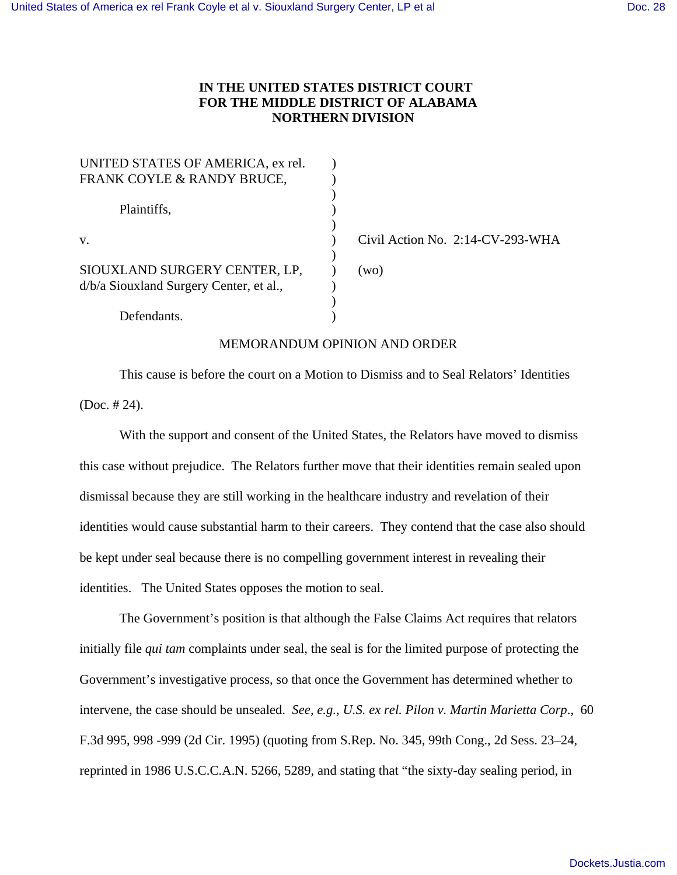## **IN THE UNITED STATES DISTRICT COURT FOR THE MIDDLE DISTRICT OF ALABAMA NORTHERN DIVISION**

| Civil Action No. 2:14-CV-293-WHA |
|----------------------------------|
|                                  |
| (wo)                             |
|                                  |
|                                  |
|                                  |
|                                  |

## MEMORANDUM OPINION AND ORDER

This cause is before the court on a Motion to Dismiss and to Seal Relators' Identities (Doc. # 24).

With the support and consent of the United States, the Relators have moved to dismiss this case without prejudice. The Relators further move that their identities remain sealed upon dismissal because they are still working in the healthcare industry and revelation of their identities would cause substantial harm to their careers. They contend that the case also should be kept under seal because there is no compelling government interest in revealing their identities. The United States opposes the motion to seal.

The Government's position is that although the False Claims Act requires that relators initially file *qui tam* complaints under seal, the seal is for the limited purpose of protecting the Government's investigative process, so that once the Government has determined whether to intervene, the case should be unsealed. *See, e.g., U.S. ex rel. Pilon v. Martin Marietta Corp*., 60 F.3d 995, 998 -999 (2d Cir. 1995) (quoting from S.Rep. No. 345, 99th Cong., 2d Sess. 23–24, reprinted in 1986 U.S.C.C.A.N. 5266, 5289, and stating that "the sixty-day sealing period, in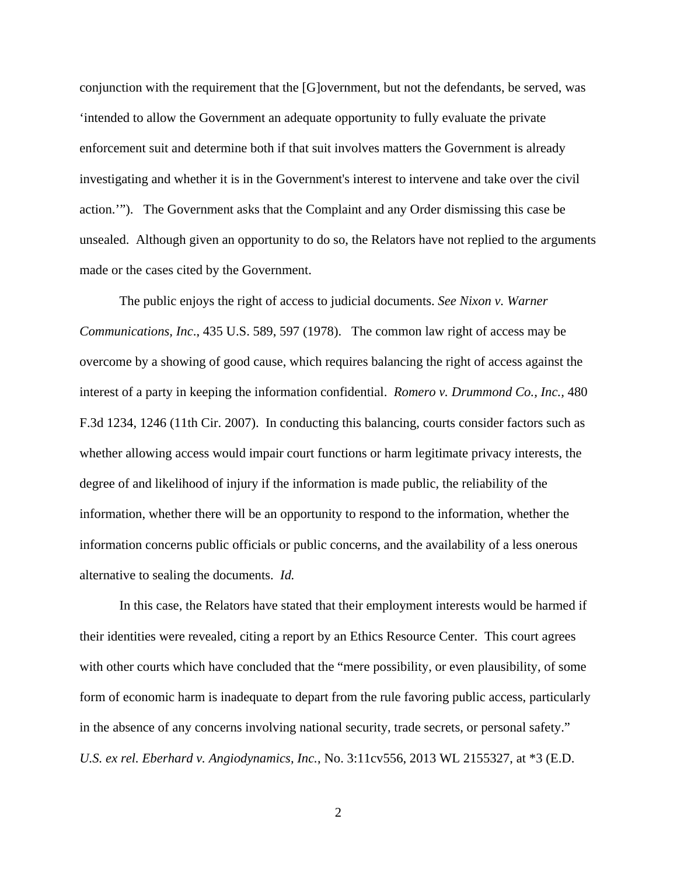conjunction with the requirement that the [G]overnment, but not the defendants, be served, was 'intended to allow the Government an adequate opportunity to fully evaluate the private enforcement suit and determine both if that suit involves matters the Government is already investigating and whether it is in the Government's interest to intervene and take over the civil action.'"). The Government asks that the Complaint and any Order dismissing this case be unsealed. Although given an opportunity to do so, the Relators have not replied to the arguments made or the cases cited by the Government.

The public enjoys the right of access to judicial documents. *See Nixon v. Warner Communications, Inc*., 435 U.S. 589, 597 (1978). The common law right of access may be overcome by a showing of good cause, which requires balancing the right of access against the interest of a party in keeping the information confidential. *Romero v. Drummond Co., Inc.,* 480 F.3d 1234, 1246 (11th Cir. 2007). In conducting this balancing, courts consider factors such as whether allowing access would impair court functions or harm legitimate privacy interests, the degree of and likelihood of injury if the information is made public, the reliability of the information, whether there will be an opportunity to respond to the information, whether the information concerns public officials or public concerns, and the availability of a less onerous alternative to sealing the documents. *Id.*

 In this case, the Relators have stated that their employment interests would be harmed if their identities were revealed, citing a report by an Ethics Resource Center. This court agrees with other courts which have concluded that the "mere possibility, or even plausibility, of some form of economic harm is inadequate to depart from the rule favoring public access, particularly in the absence of any concerns involving national security, trade secrets, or personal safety." *U.S. ex rel. Eberhard v. Angiodynamics, Inc.*, No. 3:11cv556, 2013 WL 2155327, at \*3 (E.D.

2